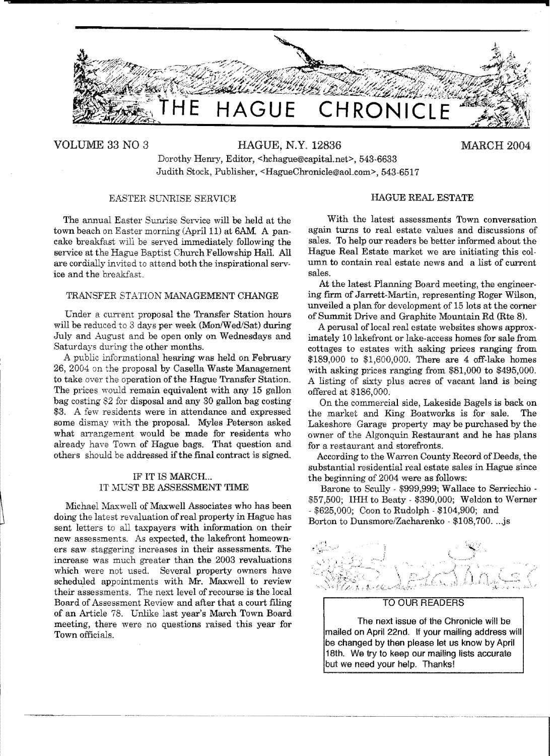

VOLUME 33 NO 3 HAGUE, N.Y. 12836 MARCH 2004

**•** 

Dorothy Henry, Editor, <hchague@capital.net>, 543-6633 Judith Stock, Publisher, <HagueChronicle@aol.com>, 543-6517

## EASTER SUNRISE SERVICE

The annual Easter Sunrise Service will be held at the town beach on Easter morning (April 11) at 6AM. A pancake breakfast will be served immediately following the service at the Hague Baptist Church Fellowship Hall. All are cordially invited to attend both the inspirational service and the breakfast.

## TRANSFER STATION MANAGEMENT CHANGE

Under a current proposal the Transfer Station hours will be reduced to 3 days per week (Mon/Wed/Sat) during July and August and be open only on Wednesdays and Saturdays during the other months.

A public informational hearing was held on February 26, 2004 on the proposal by Casella Waste Management to take over the operation of the Hague Transfer Station. The prices would remain equivalent with any 15 gallon bag costing 82 for disposal and any 30 gallon bag costing \$3. A few residents were in attendance and expressed some dismay with the proposal. Myles Peterson asked what arrangement would be made for residents who already have Tovm of Hague bags. That question and others should be addressed if the final contract is signed.

#### IF IT IS MARCH... IT MUST BE ASSESSMENT TIME

Michael Maxwell of Maxwell Associates who has been doing the latest revaluation ofreal property in Hague has sent letters to all taxpayers with information on their new assessments. As expected, the lakefront homeowners saw staggering increases in their assessments. The increase was much greater than the 2003 revaluations which were not used. Several property owners have scheduled appointments with Mr. Maxwell to review their assessments. The next level of recourse is the local Board of Assessment Review and after that a court filing of an Article 78. Unlike last year's March Town Board meeting, there were no questions raised this year for Town officials.

#### HAGUE REAL ESTATE

With the latest assessments Town conversation again turns to real estate values and discussions of sales. To help our readers be better informed about the Hague Real Estate market we are initiating this column to contain real estate news and a list of current sales.

At the latest Planning Board meeting, the engineering firm of Jarrett-Martin, representing Roger Wilson, unveiled a plan for development of 15 lots at the corner of Summit Drive and Graphite Mountain Rd (Rte 8).

A perusal of local real estate websites shows approximately 10 lakefront or lake-access homes for sale from cottages to estates with asking prices ranging from \$189,000 to \$1,600,000. There are 4 off-lake homes with asking prices ranging from  $$81,000$  to  $$495,000$ . A listing of sixty plus acres of vacant land is being offered at \$186,000.

On the commercial side, Lakeside Bagels is back on the market and King Boatworks is for sale. The Lakeshore Garage property may be purchased by the owner of the Algonquin Restaurant and he has plans for a restaurant and storefronts.

According to the Warren County Record of Deeds, the substantial residential real estate sales in Hague since the beginning of 2004 were as follows:

Barone to Scully - \$999,999; Wallace to Serricchio -\$57,500; IHH to Beaty - \$390,000; Weldon to Werner - \$625,000; Coon to Rudolph - \$104,900; and Borton to Dunsmore/Zacharenko - \$108,700....js

#### TO OUR READERS

The next issue of the Chronicle will be mailed on April 22nd. If your mailing address will be changed by then please let us know by April 18th. We try to keep our mailing lists accurate but we need your help. Thanks!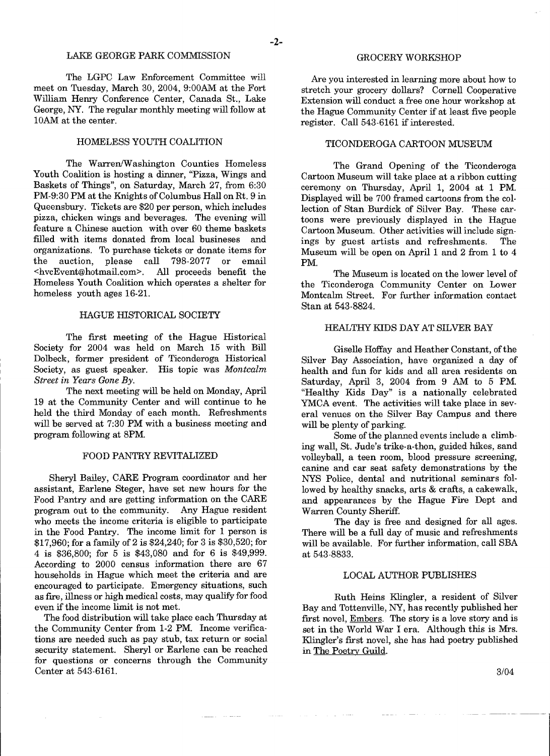## LAKE GEORGE PARK COMMISSION

The LGPC Law Enforcement Committee will meet on Tuesday, March 30, 2004, 9:00AM at the Fort William Henry Conference Center, Canada St., Lake George, NY. The regular monthly meeting will follow at 10AM at the center.

## HOMELESS YOUTH COALITION

The Warren/Washington Counties Homeless Youth Coalition is hosting a dinner, "Pizza, Wings and Baskets of Things", on Saturday, March 27, from 6:30 PM-9:30 PM at the Knights of Columbus Hall on Rt. 9 in Queensbury. Tickets are \$20 per person, which includes pizza, chicken wings and beverages. The evening will feature a Chinese auction with over 60 theme baskets filled with items donated from local busineses and organizations. To purchase tickets or donate items for the auction, please call 798-2077 or email <hvcEvent@hotmail.com>. All proceeds benefit the Homeless Youth Coalition which operates a shelter for homeless youth ages 16-21.

## HAGUE HISTORICAL SOCIETY

The first meeting of the Hague Historical Society for 2004 was held on March 15 with Bill Dolbeck, former president of Ticonderoga Historical Society, as guest speaker. His topic was *Montcalm Street in Years Gone By.* 

The next meeting will be held on Monday, April 19 at the Community Center and will continue to he held the third Monday of each month. Refreshments will be served at 7:30 PM with a business meeting and program following at 8PM.

#### FOOD PANTRY REVITALIZED

Sheryl Bailey, CARE Program coordinator and her assistant, Earlene Steger, have set new hours for the Food Pantry and are getting information on the CARE program out to the community. Any Hague resident who meets the income criteria is eligible to participate in the Food Pantry. The income limit for 1 person is \$17,960; for a family of 2 is \$24,240; for 3 is \$30,520; for 4 is \$36,800; for 5 is \$43,080 and for 6 is \$49,999. According to 2000 census information there are 67 households in Hague which meet the criteria and are encouraged to participate. Emergency situations, such as frre, illness or high medical costs, may qualify for food even if the income limit is not met.

The food distribution will take place each Thursday at the Community Center from 1-2 PM. Income verifications are needed such as pay stub, tax return or social security statement. Sheryl or Earlene can be reached for questions or concerns through the Community Center at 543-6161.

#### GROCERY WORKSHOP

Are you interested in learning more about how to stretch your grocery dollars? Cornell Cooperative Extension will conduct a free one hour workshop at the Hague Community Center if at least five people register. Call 543-6161 if interested.

## TICONDEROGA CARTOON MUSEUM

The Grand Opening of the Ticonderoga Cartoon Museum will take place at a ribbon cutting ceremony on Thursday, April 1, 2004 at 1 PM. Displayed will be 700 framed cartoons from the collection of Stan Burdick of Silver Bay. These cartoons were previously displayed in the Hague Cartoon Museum. Other activities will include signings by guest artists and refreshments. The Museum will be open on April 1 and 2 from 1 to 4 PM.

The Museum is located on the lower level of the Ticonderoga Community Center on Lower Montcalm Street. For further information contact Stan at 543-8824.

## HEALTHY KIDS DAY AT SILVER BAY

Giselle Hoffay and Heather Constant, of the Silver Bay Association, have organized a day of health and fun for kids and all area residents on Saturday, April 3, 2004 from 9 AM to 5 PM. "Healthy Kids Day" is a nationally celebrated YMCA event. The activities will take place in several venues on the Silver Bay Campus and there will be plenty of parking.

Some of the planned events include a climbing wall, St. Jude's trike-a-thon, guided hikes, sand volleyball, a teen room, blood pressure screening, canine and car seat safety demonstrations by the NYS Police, dental and nutritional seminars followed by healthy snacks, arts & crafts, a cakewalk, and appearances by the Hague Fire Dept and Warren County Sheriff.

The day is free and designed for all ages. There will be a full day of music and refreshments will be available. For further information, call SBA at 543-8833.

#### LOCAL AUTHOR PUBLISHES

Ruth Heins Klingler, a resident of Silver Bay and Tottenville, NY, has recently published her first novel, Embers. The story is a love story and is set in the World War I era. Although this is Mrs. Klingler's frrst novel, she has had poetry published in The Poetry Guild.

*3/04* 

 $-$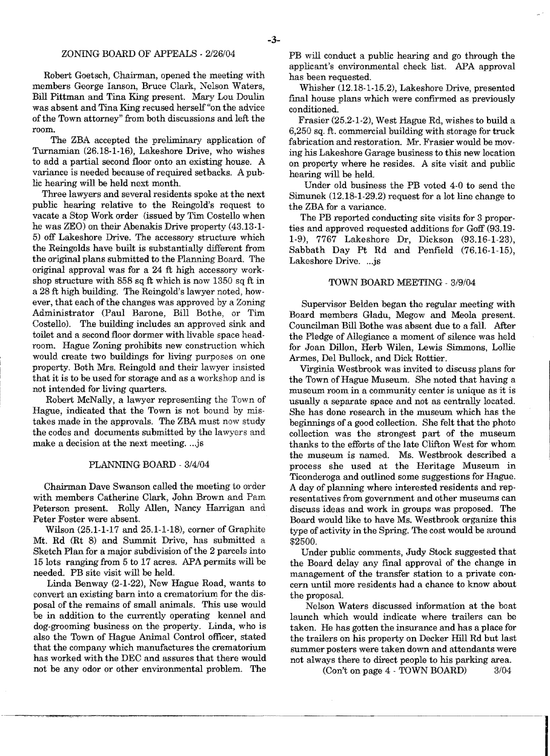## ZONING BOARD OF APPEALS - *2/26/04*

Robert Goetsch, Chairman, opened the meeting with members George lanson, Bruce Clark, Nelson Waters, Bill Pittman and Tina King present. Mary Lou Doulin was absent and Tina King recused herself "on the advice ofthe Town attorney" from both discussions and left the room.

The ZBA accepted the preliminary application of Turnamian (26.18-1-16), Lakeshore Drive, who wishes to add a partial second floor onto an existing house. A variance is needed because of required setbacks. A public hearing will be held next month.

Three lawyers and several residents spoke at the next public hearing relative to the Reingold's request to vacate a Stop Work order (issued by Tim Costello when he was ZEO) on their Abenakis Drive property (43.13-1 5) off Lakeshore Drive. The accessory structure which the Reingolds have built is substantially difterent from the original plans submitted to the Planning Board. The original approval was for a 24 ft high accessory workshop structure with 858 sq ft which is now 1350 sq ft in a 28 ft high building. The Reingold's lawyer noted, however, that each of the changes was approved by a Zoning Administrator (Paul Barone, Bill Bothe, or Tim Costello). The building includes an approved sink and toilet and a second floor dormer with livable space headroom. Hague Zoning prohibits new construction which would create two buildings for living purposes on one property. Both Mrs. Reingold and their lawyer insisted that it is to be used for storage and as a workshop and is not intended for living quarters.

Robert McNally, a lawyer representing the Town of Hague, indicated that the Town is not bound by mistakes made in the approvals. The ZBA must now study the codes and documents submitted by the lawyers and make a decision at the next meeting....js

## PLANNING BOARD - *3/4/04*

Chairman Dave Swanson called the meeting to order with members Catherine Clark, John Brown and Pam Peterson present. Rolly Allen, Nancy Harrigan and Peter Foster were absent.

Wilson (25.1-1-17 and 25.1-1-18), corner of Graphite Mt. Rd (Rt 8) and Summit Drive, has submitted a Sketch Plan for a major subdivision of the 2 parcels into 15 lots ranging from 5 to 17 acres. APA permits will be needed. PB site visit will be held.

Linda Benway (2-1-22), New Hague Road, wants to convert an existing barn into a crematorium for the disposal of the remains of small animals. This use would be in addition to the currently operating kennel and dog-grooming business on the property. Linda, who is also the Town of Hague Animal Control officer, stated that the company which manufactures the crematorium has worked with the DEC and assures that there would not be any odor or other environmental problem. The

PB will conduct a public hearing and go through the applicant's environmental check list. APA approval has been requested.

Whisher (12.18-1-15.2), Lakeshore Drive, presented final house plans which were confirmed as previously conditioned.

Frasier (25.2-1-2), West Hague Rd, wishes to build a 6,250 sq. ft. commercial building with storage for truck fabrication and restoration. Mr. Frasier would be moving his Lakeshore Garage business to this new location on property where he resides. A site visit and public hearing will be held.

Under old business the PB voted 4-0 to send the Simunek (12.18-1-29.2) request for a lot line change to the ZBA for a variance.

The PB reported conducting site visits for 3 properties and approved requested additions for Goff (93.19 1-9), 7767 Lakeshore Dr, Dickson (93.16-1-23), Sabbath Day Pt Rd and Penfield (76.16-1-15), Lakeshore Drive. ... is

#### TOWN BOARD MEETING - 3/9/04

Supervisor Belden began the regular meeting with Board members Gladu, Megow and Meola present. Councilman Bill Bothe was absent due to a fall. After the Pledge of Allegiance a moment of silence was held for Joan Dillon, Herb Wilen, Lewis Simmons, Lollie Armes, Del Bullock, and Dick Rottier.

Virginia Westbrook was invited to discuss plans for the Town of Hague Museum. She noted that having a museum room in a community center is unique as it is usually a separate space and not as centrally located. She has done research in the museum which has the beginnings of a good collection. She felt that the photo collection was the strongest part of the museum thanks to the efforts of the late Clifton West for whom the museum is named. Ms. Westbrook described a process she used at the Heritage Museum in Ticonderoga and outlined some suggestions for Hague. A day of planning where interested residents and representatives from government and other museums can discuss ideas and work in groups was proposed. The Board would like to have Ms. Westbrook organize this type of activity in the Spring, The cost would be around \$2500.

Under public comments, Judy Stock suggested that the Board delay any final approval of the change in management of the transfer station to a private concern until more residents had a chance to know about the proposal.

Nelson Waters discussed information at the boat launch which would indicate where trailers can be taken. He has gotten the insurance and has a place for the trailers on his property on Decker Hill Rd but last summer posters were taken down and attendants were not always there to direct people to his parking area.

(Con't on page 4 - TOWN BOARD) *3/04*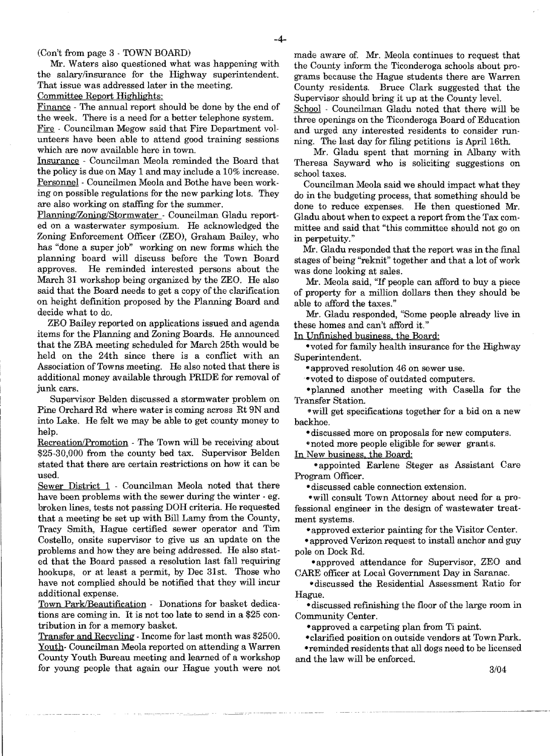## (Con't from page 3· TOWN BOARD)

Mr. Waters also questioned what was happening with the salary/insurance for the Highway superintendent. That issue was addressed later in the meeting.

Committee Report Highlights:

Finance - The annual report should be done by the end of the week. There is a need for a better telephone system.

Fire . Councilman Megow said that Fire Department vol· unteers have been able to attend good training sessions which are now available here in town.

Insurance - Councilman Meola reminded the Board that the policy is due on May 1 and may include a 10% increase. Personnel· Councilmen Meola and Bothe have been work· ing on possible regulations for the new parking lots. They are also working on staffing for the summer.

Planning/Zoning/Stormwater . Councilman Gladu reported on a wasterwater symposium. He acknowledged the Zoning Enforcement Officer (ZEO), Graham Bailey, who has "done a super job" working on new forms which the planning board will discuss before the Town Board approves. He reminded interested persons about the March 31 workshop being organized by the ZEO. He also said that the Board needs to get a copy of the clarification on height definition proposed by the Planning Board and decide what to do.

ZEO Bailey reported on applications issued and agenda items for the Planning and Zoning Boards. He announced that the ZBA meeting scheduled for March 25th would be held on the 24th since there is a conflict with an Association of Towns meeting. He also noted that there is additional money available through PRIDE for removal of junk cars.

Supervisor Belden discussed a stormwater problem on Pine Orchard Rd where water is coming across Rt 9N and into Lake. He felt we may be able to get county money to help.

Recreation/Promotion - The Town will be receiving about \$25-30,000 from the county bed tax. Supervisor Belden stated that there are certain restrictions on how it can be used.

Sewer District 1 - Councilman Meola noted that there have been problems with the sewer during the winter  $-$  eg. broken lines, tests not passing DOH criteria. He requested that a meeting be set up with Bill Lamy from the County, Tracy Smith, Hague certified sewer operator and Tim Costello, onsite supervisor to give us an update on the problems and how they are being addressed. He also stated that the Board passed a resolution last fall requiring hookups, or at least a permit, by Dec 31st. Those who have not complied should be notified that they will incur additional expense.

Town Park/Beautification - Donations for basket dedications are coming in. It is not too late to send in a \$25 con· tribution in for a memory basket.

Transfer and Recycling· Income for last month was \$2500. Youth- Councilman Meola reported on attending a Warren County Youth Bureau meeting and learned of a workshop for young people that again our Hague youth were not made aware of. Mr. Meola continues to request that the County inform the Ticonderoga schools about programs because the Hague students there are Warren County residents. Bruce Clark suggested that the Supervisor should bring it up at the County level.

School - Councilman Gladu noted that there will be three openings on the Ticonderoga Board of Education and urged any interested residents to consider run· ning. The last day for filing petitions is April 16th.

Mr. Gladu spent that morning in Albany with Theresa Sayward who is soliciting suggestions on school taxes.

Councilman Meola said we should impact what they do in the budgeting process, that something should be done to reduce expenses. He then questioned Mr. Gladu about when to expect a report from the Tax com· mittee and said that "this committee should not go on in perpetuity."

Mr. Gladu responded that the report was in the final stages of being "reknit" together and that a lot of work was done looking at sales.

Mr. Meola said, "If people can afford to buy a piece of property for a million dollars then they should be able to afford the taxes."

Mr. Gladu responded, "Some people already live in these homes and can't afford it."

In Unfinished business, the Board:

·voted for family health insurance for the Highway Superintendent.

\*approved resolution 46 on sewer use.

"'voted to dispose of outdated computers.

·planned another meeting with Casella for the Transfer Station.

·will get specifications together for a bid on a new backhoe.

- discussed more on proposals for new computers.

"noted more people eligible for sewer grants.

In New business. the Board:

.. appointed Earlene Steger as Assistant Care Program Officer.

 $\bullet$  discussed cable connection extension.

"will consult Town Attorney about need for a professional engineer in the design of wastewater treat· ment systems.

·approved exterior painting for the Visitor Center.

• approved Verizon request to install anchor and guy pole on Dock Rd.

-approved attendance for Supervisor, ZEO and CARE officer at Local Government Day in Saranac.

.. discussed the Residential Assessment Ratio for Hague.

• discussed refInishing the floor of the large room in Community Center.

• approved a carpeting plan from Ti paint.

• clarified position on outside vendors at Town Park.

•reminded residents that all dogs need to be licensed and the law will be enforced.

3104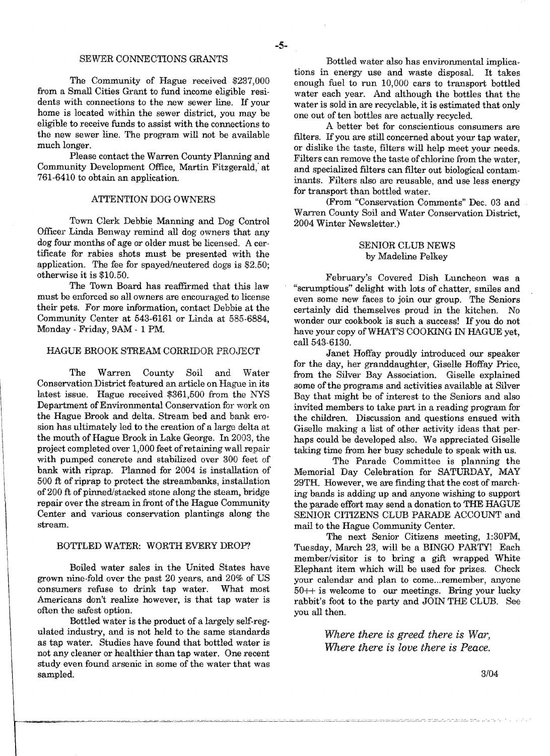## SEWER CONNECTIONS GRANTS

The Community of Hague received \$237,000 from a Small Cities Grant to fund income eligible residents with connections to the new sewer line\_ If your home is located within the sewer district, you may be eligible to receive funds to assist with the connections to the new sewer line. The program will not be available much longer.

Please contact the Warren County Planning and Community Development Office, Martin Fitzgerald; at 761-6410 to obtain an application.

## ATTENTION DOG OWNERS

Town Clerk Debbie Manning and Dog Control Officer Linda Benway remind all dog owners that any dog four months of age or older must be licensed. A certificate for rabies shots must be presented with the application. The fee for spayed/neutered dogs is \$2.50; otherwise it is \$10.50.

The Town Board has reaffirmed that this law must be enforced so all owners are encouraged to license their pets. For more information, contact Debbie at the Community Center at 543-6161 or Linda at 585·6884, Monday - Friday, 9AM - 1 PM.

#### HAGUE BROOK STREAM CORRIDOR PROJECT

The Warren County Soil and Water Conservation District featured an article on Hague in its latest issue. Hague received \$361,500 from the NYS Department of Environmental Conservation for work on the Hague Brook and delta. Stream bed and bank erosion has ultimately led to the creation of a large delta at the mouth of Hague Brook in Lake George. In 2003, the project completed over 1,000 feet of retaining wall repair with pumped concrete and stabilized over 300 feet of bank with riprap. Planned for 2004 is installation of 500 ft of riprap to protect the streambanks, installation of 200 ft of pinned/stacked stone along the steam, bridge repair over the stream in front of the Hague Community Center and various conservation plantings along the stream.

#### BOTTLED WATER: WORTH EVERY DROP?

Boiled water sales in the United States have grown nine-fold over the past 20 years, and 20% of US consumers refuse to drink tap water. What most Americans don't realize however, is that tap water is often the safest option.

Bottled water is the product of a largely self-regulated industry, and is not held to the same standards as tap water. Studies have found that bottled water is not any cleaner or healthier than tap water. One recent study even found arsenic in some of the water that was sampled.

Bottled water also has environmental implica. tions in energy use and waste disposal. It takes enough fuel to run 10,000 cars to transport bottled water each year. And although the bottles that the water is sold in are recyclable, it is estimated that only one out of ten bottles are actually recycled.

A better bet for conscientious consumers are filters. If you are still concerned about your tap water, or dislike the taste, filters will help meet your needs. Filters can remove the taste of chlorine from the water, and specialized fllters can fllter out biological contaminants. Filters also are reusable, and use less energy for transport than bottled water,

(From "Conservation Comments" Dec. 03 and Warren County Soil and Water Conservation District, 2004 Winter Newsletter.)

## SENIOR CLUB NEWS by Madeline Pelkey

February's Covered Dish Luncheon was a "scrumptious" delight with lots of chatter, smiles and even some new faces to join our group. The Seniors certainly did themselves proud in the kitchen. No wonder our cookbook is such a success! If you do not have your copy ofWHAT'S COOKING IN HAGUE yet, call 543-6130.

Janet Hoffay proudly introduced our speaker for the day, her granddaughter, Giselle Hoffay Price, from the Silver Bay Association. Giselle explained some of the programs and activities available at Silver Bay that might be of interest to the Seniors and also invited members to take part in a reading program for the children. Discussion and questions ensued with Giselle making a list of other activity ideas that perhaps could be developed also. We appreciated Giselle taking time from her busy schedule to speak with us.

The Parade Committee is planning the Memorial Day Celebration for SATURDAY, MAY 29TH. However, we are finding that the cost of march· ing bands is adding up and anyone wishing to support the parade effort may send a donation to THE HAGUE SENIOR CITIZENS CLUB PARADE ACCOUNT and mail to the Hague Community Center.

The next Senior Citizens meeting, 1:30PM, Tuesday, March 23, will be a BINGO PARTY! Each member/visitor is to bring a gift wrapped White Elephant item which will be used for prizes. Check your calendar and plan to come...remember, anyone  $50++$  is welcome to our meetings. Bring your lucky rabbit's foot to the party and JOIN THE CLUB. See you all then.

> *Where there is greed there is War, Where there is love there is Peace.*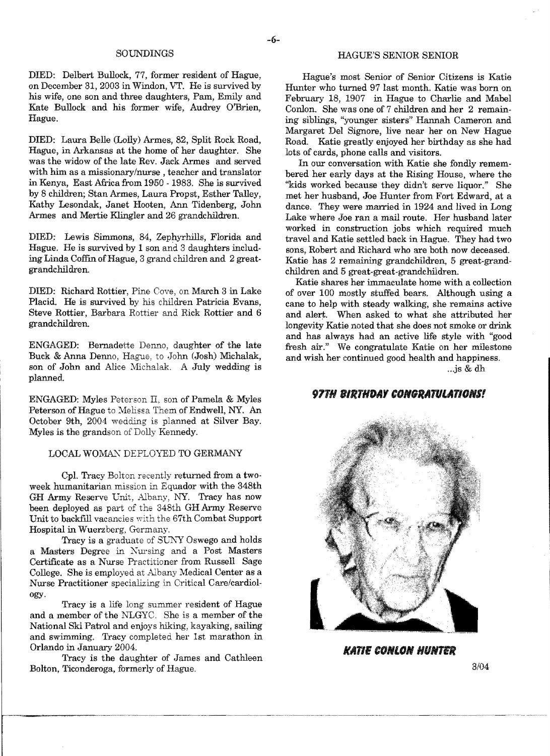DIED: Delbert Bullock, 77, former resident of Hague, on December 31, 2003 in Windon, VT. He is survived by his wife, one son and three daughters, Pam, Emily and Kate Bullock and his former wife, Audrey O'Brien, Hague.

DIED: Laura Belle (Lolly) Armes, 82, Split Rock Road, Hague, in Arkansas at the home of her daughter. She was the widow of the late Rev. Jack Armes and served with him as a missionary/nurse, teacher and translator in Kenya, East Africa from 1950 - 1983. She is survived by 8 children; Stan Armes, Laura Propst, Esther Talley, Kathy Lesondak, Janet Hooten, Ann Tidenberg, John Armes and Mertie Klingler and 26 grandchildren.

DIED; Lewis Simmons, 84, Zephyrhills, Florida and Hague. He is survived by 1 son and 3 daughters including Linda Coffin of Hague, 3 grand children and 2 greatgrandchildren.

DIED: Richard Rottier, Pine Cove, on March 3 in Lake Placid. He is survived by his children Patricia Evans, Steve Rottier, Barbara Rottier and Rick Rottier and 6 grandchildren.

ENGAGED: Bernadette Denno, daughter of the late Buck & Anna Denno, Hague, to John (Josh) Michalak, son of John and Alice Michalak. A July wedding is planned.

ENGAGED: Myles Peterson II, son of Pamela & Myles Peterson of Hague to Melissa Them of Endwell, NY. An October 9th, 2004 wedding is planned at Silver Bay. Myles is the grandson of Dolly Kennedy.

## LOCAL WOMAN DEPLOYED TO GERMANY

Cpl. Tracy Bolton recently returned from a twoweek humanitarian mission in Equador with the 348th GH Army Reserve Unit, Albany, NY. Tracy has now been deployed as part of the 348th GH Army Reserve Unit to backfill vacancies with the 67th Combat Support Hospital in Wuerzberg, Germany.

Tracy is a graduate of SUNY Oswego and holds a Masters Degree in Nursing and a Post Masters Certificate as a Nurse Practitioner from Russell Sage College. She is employed at Albany Medical Center as a Nurse Practitioner specializing in Critical Care/cardiology.

Tracy is a life long summer resident of Hague and a member of the NLGYC. She is a member of the National Ski Patrol and enjoys hiking, kayaking, sailing and swimming. Tracy completed her 1st marathon in Orlando in January 2004.

Tracy is the daughter of James and Cathleen Bolton, Ticonderoga, formerly of Hague.

# SOUNDINGS HAGUE'S SENIOR SENIOR

Hague's most Senior of Senior Citizens is Katie Hunter who turned 97 last month. Katie was born on February 18, 1907 in Hague to Charlie and Mabel Conlon. She was one of 7 children and her 2 remaining siblings, "younger sisters" Hannah Cameron and Margaret Del Signore, live near her on New Hague Road. Katie greatly enjoyed her birthday as she had lots of cards, phone calls and visitors.

In our conversation with Katie she fondly remembered her early days at the Rising House, where the "kids worked because they didn't serve liquor." She met her husband, Joe Hunter from Fort Edward, at a dance. They were married in 1924 and lived in Long Lake where Joe ran a mail route. Her husband later worked in construction jobs which required much travel and Katie settled back in Hague. 'They had two sons, Robert and Richard who are both now deceased. Katie has 2 remaining grandchildren, 5 great-grandchildren and 5 great-great-grandchildren.

Katie shares her immaculate home with a collection of over 100 mostly stuffed bears. Although using a cane to help with steady walking, she remains active and alert. When asked to what she attributed her longevity Katie noted that she does not smoke or drink and has always had an active life style with "good fresh air." We congratulate Katie on her milestone and wish her continued good health and happiness.

...js & dh

# **97TH BIRTHDAY CONGRATULATIONS!**



*NATIE CONLON HIINTER* 

3104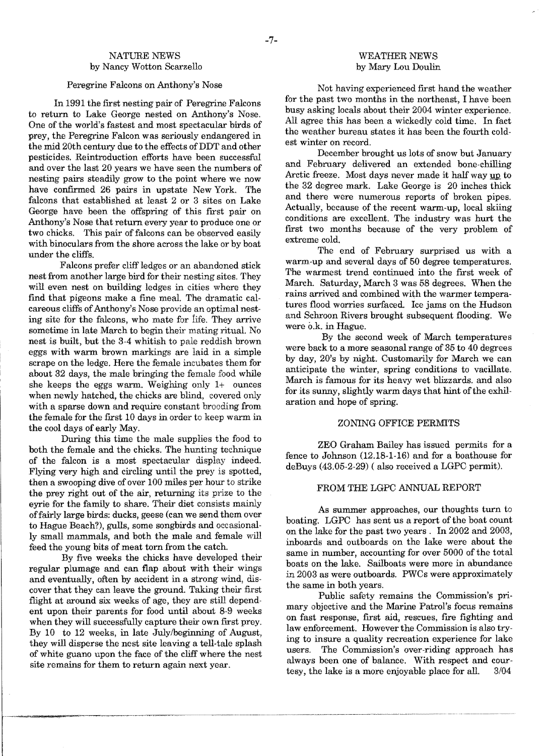# NATURE NEWS by Nancy Wotton Scarzello

## Peregrine Falcons on Anthony's Nose

In 1991 the first nesting pair of Peregrine Falcons to return to Lake George nested on Anthony's Nose. One of the world's fastest and most spectacular birds of prey, the Peregrine Falcon was seriously endangered in the mid 20th century due to the effects of DDT and other pesticides. Reintroduction efforts have been successful and over the last 20 years we have seen the numbers of nesting pairs steadily grow to the point where we now have confirmed 26 pairs in upstate New York. The falcons that established at least 2 or 3 sites on Lake George have been the offspring of this first pair on Anthony's Nose that return every year to produce one or two chicks. This pair of falcons can be observed easily with binoculars from the shore across the lake or by boat under the cliffs.

Falcons prefer cliff ledges or an abandoned stick nest from another large bird for their nesting sites. They will even nest on building ledges in cities where they find that pigeons make a fine meal. The dramatic calcareous cliffs of Anthony's Nose provide an optimal nesting site for the falcons, who mate for life. They arrive sometime in late March to begin their mating ritual. No nest is built, but the 3-4 whitish to pale reddish brown eggs with warm brown markings are laid in a simple scrape on the ledge. Here the female incubates them for about 32 days, the male bringing the female food while she keeps the eggs warm. Weighing only 1+ ounces when newly hatched, the chicks are blind, covered only with a sparse down and require constant brooding from the female for the first 10 days in order to keep warm in the cool days of early May.

During this time the male supplies the food to both the female and the chicks. The hunting technique of the falcon is a most spectacular display indeed. Flying very high and circling until the prey is spotted, then a swooping dive of over 100 miles per hour to strike the prey right out of the air, returning its prize to the eyrie for the family to share. Their diet consists mainly offairly large birds: ducks, geese (can we send them over to Hague Beach?), gulls, some songbirds and occasionally small mammals, and both the male and female will feed the young bits of meat torn from the catch.

By fIve weeks the chicks have developed their regular plumage and can flap about with their wings and eventually, often by accident in a strong wind, discover that they can leave the ground. Taking their first flight at around six weeks of age, they are still dependent upon their parents for food until about 8-9 weeks when they will successfully capture their own first prey. By 10 to 12 weeks, in late July/beginning of August they will disperse the nest site leaving a tell-tale splash of white guano upon the face of the cliff where the nest site remams for them to return again next year.

## WEATHER NEWS by Mary Lou Doulin

Not having experienced fIrst hand the weather for the past two months in the northeast, I have been busy asking locals about their 2004 winter experience. All agree this has been a wickedly cold time. In fact the weather bureau states it has been the fourth coldest winter on record.

December brought us lots of snow but January and February delivered an extended bone-chilling Arctic freeze. Most days never made it half way up to the 32 degree mark. Lake George is 20 inches thick and there were numerous reports of broken pipes. Actually, because of the recent warm-up, local skiing conditions are excellent. The industry was hurt the frrst two months because of the very problem of extreme cold.

The end of February surprised us with a warm-up and several days of 50 degree temperatures. The warmest trend continued into the first week of March. Saturday, March 3 was 58 degrees. 'When the rains arrived and combined with the warmer temperatures flood worries surfaced. Ice jams on the Hudson and Schroon Rivers brought subsequent flooding. We were o.k. in Hague.

By the second week of March temperatures were back to a more seasonal range of 35 to 40 degrees by day, 20's by night. Customarily for March we can anticipate the winter, spring conditions to vacillate. March is famous for its heavy wet blizzards. and also for its sunny, slightly warm days that hint of the exhilaration and hope of spring.

## ZONING OFFICE PERMITS

ZEO Graham Bailey has issued permits for a fence to Johnson (12.18-1-16) and for a boathouse for deBuys (43.05-2-29) ( also received a LGPC permit).

#### FROM THE LGPC ANNUAL REPORT

As summer approaches, our thoughts turn to boating. LGPC has sent us a report of the boat count on the lake for the past two years. In 2002 and 2003, inboards and outboards on the lake were about the same in number, accounting for over 5000 of the total boats on the lake. Sailboats were more in abundance in 2003 as were outboards. PWCs were approximately the same in both years.

Public safety remains the Commission's primary objective and the Marine Patrol's focus remams on fast response, first aid, rescues, fire fighting and law enforcement. However the Commission is also trying to insure a quality recreation experience for lake users. The Commission's over-riding approach has always been one of balance. With respect and courtesy, the lake is a more enjoyable place for all. *3/04*